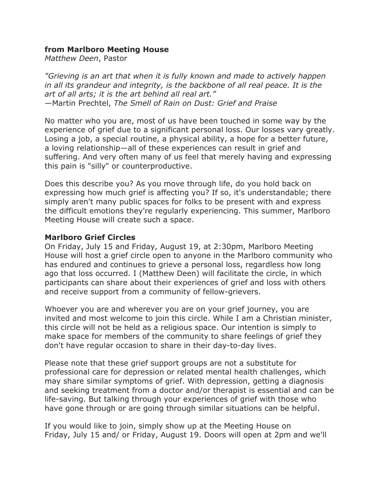## **from Marlboro Meeting House**

*Matthew Deen*, Pastor

*"Grieving is an art that when it is fully known and made to actively happen in all its grandeur and integrity, is the backbone of all real peace. It is the art of all arts; it is the art behind all real art."* —Martin Prechtel, *The Smell of Rain on Dust: Grief and Praise*

No matter who you are, most of us have been touched in some way by the experience of grief due to a significant personal loss. Our losses vary greatly. Losing a job, a special routine, a physical ability, a hope for a better future, a loving relationship—all of these experiences can result in grief and suffering. And very often many of us feel that merely having and expressing this pain is "silly" or counterproductive.

Does this describe you? As you move through life, do you hold back on expressing how much grief is affecting you? If so, it's understandable; there simply aren't many public spaces for folks to be present with and express the difficult emotions they're regularly experiencing. This summer, Marlboro Meeting House will create such a space.

## **Marlboro Grief Circles**

On Friday, July 15 and Friday, August 19, at 2:30pm, Marlboro Meeting House will host a grief circle open to anyone in the Marlboro community who has endured and continues to grieve a personal loss, regardless how long ago that loss occurred. I (Matthew Deen) will facilitate the circle, in which participants can share about their experiences of grief and loss with others and receive support from a community of fellow-grievers.

Whoever you are and wherever you are on your grief journey, you are invited and most welcome to join this circle. While I am a Christian minister, this circle will not be held as a religious space. Our intention is simply to make space for members of the community to share feelings of grief they don't have regular occasion to share in their day-to-day lives.

Please note that these grief support groups are not a substitute for professional care for depression or related mental health challenges, which may share similar symptoms of grief. With depression, getting a diagnosis and seeking treatment from a doctor and/or therapist is essential and can be life-saving. But talking through your experiences of grief with those who have gone through or are going through similar situations can be helpful.

If you would like to join, simply show up at the Meeting House on Friday, July 15 and/ or Friday, August 19. Doors will open at 2pm and we'll